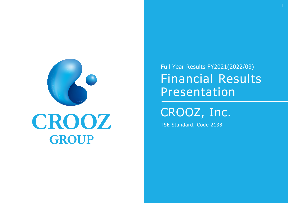

# CROOZ GROUP

Full Year Results FY2021(2022/03) Financial Results Presentation

CROOZ, Inc.

TSE Standard; Code 2138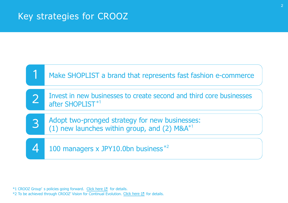#### Key strategies for CROOZ



 $*1$  CROOZ Group's policies going forward. Click here  $[2]$  for details.  $*$ 2 To be achieved through CROOZ' Vision for Continual Evolution. Click here  $\boxtimes$  for details.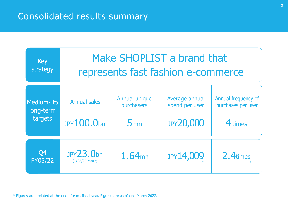

\* Figures are updated at the end of each fiscal year. Figures are as of end-March 2022.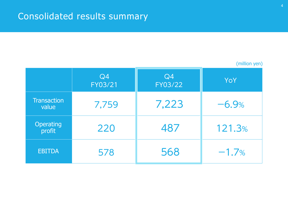|                             | (million yen) |               |         |
|-----------------------------|---------------|---------------|---------|
|                             | Q4<br>FY03/21 | Q4<br>FY03/22 | YoY     |
| <b>Transaction</b><br>value | 7,759         | 7,223         | $-6.9%$ |
| <b>Operating</b><br>profit  | 220           | 487           | 121.3%  |
| <b>EBITDA</b>               | 578           | 568           | $-1.7%$ |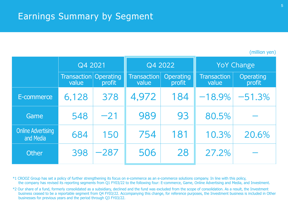#### Earnings Summary by Segment

|  | (million yen) |
|--|---------------|
|  |               |
|  |               |

|                                        | Q4 2021                     |                                   | Q4 2022                     |                     |                             | <b>YoY Change</b>          |
|----------------------------------------|-----------------------------|-----------------------------------|-----------------------------|---------------------|-----------------------------|----------------------------|
|                                        | <b>Transaction</b><br>value | <i><b>Operating</b></i><br>profit | <b>Transaction</b><br>value | Operating<br>profit | <b>Transaction</b><br>value | <b>Operating</b><br>profit |
| E-commerce                             | 6,128                       | 378                               | 4,972                       | 184                 | $-18.9%$                    | $-51.3%$                   |
| Game                                   | 548                         | $-21$                             | 989                         | 93                  | 80.5%                       |                            |
| <b>Online Advertising</b><br>and Media | 684                         | 150                               | 754                         | 181                 | 10.3%                       | 20.6%                      |
| <b>Other</b>                           | 398                         | $-287$                            | 506                         | 28                  | 27.2%                       |                            |

\*1 CROOZ Group has set a policy of further strengthening its focus on e-commerce as an e-commerce solutions company. In line with this policy, the company has revised its reporting segments from Q1 FY03/22 to the following four: E-commerce, Game, Online Advertising and Media, and Investment.

\*2 Our share of a fund, formerly consolidated as a subsidiary, declined and the fund was excluded from the scope of consolidation. As a result, the Investment business ceased to be a reportable segment from Q4 FY03/22. Accompanying this change, for reference purposes, the Investment business is included in Other businesses for previous years and the period through Q3 FY03/22.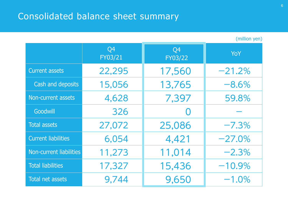## Consolidated balance sheet summary

(million yen)

|                            | Q4<br>FY03/21 | Q4<br>FY03/22 | <b>YoY</b> |
|----------------------------|---------------|---------------|------------|
| <b>Current assets</b>      | 22,295        | 17,560        | $-21.2%$   |
| Cash and deposits          | 15,056        | 13,765        | $-8.6%$    |
| Non-current assets         | 4,628         | 7,397         | 59.8%      |
| Goodwill                   | 326           |               |            |
| <b>Total assets</b>        | 27,072        | 25,086        | $-7.3%$    |
| <b>Current liabilities</b> | 6,054         | 4,421         | $-27.0%$   |
| Non-current liabilities    | 11,273        | 11,014        | $-2.3%$    |
| <b>Total liabilities</b>   | 17,327        | 15,436        | $-10.9%$   |
| Total net assets           | 9,744         | 9,650         | $-1.0%$    |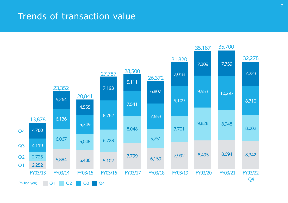#### Trends of transaction value

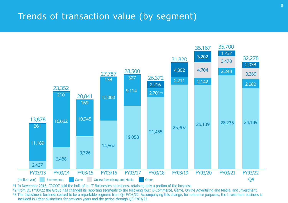#### Trends of transaction value (by segment)



\*1 In November 2016, CROOZ sold the bulk of its IT Businesses operations, retaining only a portion of the business.

\*2 From Q1 FY03/22 the Group has changed its reporting segments to the following four: E-Commerce, Game, Online Advertising and Media, and Investment.

\*3 The Investment business ceased to be a reportable segment from Q4 FY03/22. Accompanying this change, for reference purposes, the Investment business is included in Other businesses for previous years and the period through Q3 FY03/22.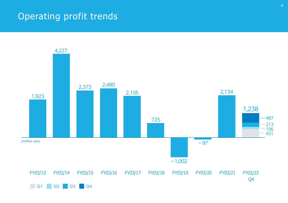### Operating profit trends

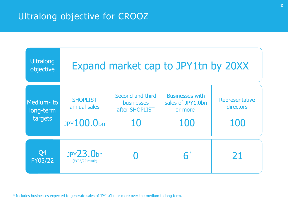#### Ultralong objective for CROOZ



\* Includes businesses expected to generate sales of JPY1.0bn or more over the medium to long term.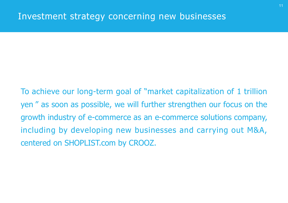To achieve our long-term goal of "market capitalization of 1 trillion yen " as soon as possible, we will further strengthen our focus on the growth industry of e-commerce as an e-commerce solutions company, including by developing new businesses and carrying out M&A, centered on SHOPLIST.com by CROOZ.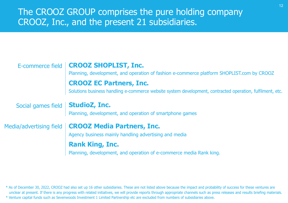#### The CROOZ GROUP comprises the pure holding company CROOZ, Inc., and the present 21 subsidiaries.

| E-commerce field                   | <b>CROOZ SHOPLIST, Inc.</b><br>Planning, development, and operation of fashion e-commerce platform SHOPLIST.com by CROOZ |
|------------------------------------|--------------------------------------------------------------------------------------------------------------------------|
|                                    | <b>CROOZ EC Partners, Inc.</b>                                                                                           |
|                                    | Solutions business handling e-commerce website system development, contracted operation, fulfilment, etc.                |
| Social games field   StudioZ, Inc. |                                                                                                                          |
|                                    | Planning, development, and operation of smartphone games                                                                 |
| Media/advertising field            | <b>CROOZ Media Partners, Inc.</b>                                                                                        |
|                                    | Agency business mainly handling advertising and media                                                                    |
|                                    | <b>Rank King, Inc.</b>                                                                                                   |
|                                    | Planning, development, and operation of e-commerce media Rank king.                                                      |

\* As of December 30, 2022, CROOZ had also set up 16 other subsidiaries. These are not listed above because the impact and probability of success for these ventures are unclear at present. If there is any progress with related initiatives, we will provide reports through appropriate channels such as press releases and results briefing materials. \* Venture capital funds such as Sevenwoods Investment 1 Limited Partnership etc are excluded from numbers of subsidiaries above.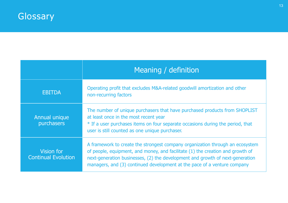|                                                 | Meaning / definition                                                                                                                                                                                                                                                                                                         |  |
|-------------------------------------------------|------------------------------------------------------------------------------------------------------------------------------------------------------------------------------------------------------------------------------------------------------------------------------------------------------------------------------|--|
| <b>EBITDA</b>                                   | Operating profit that excludes M&A-related goodwill amortization and other<br>non-recurring factors                                                                                                                                                                                                                          |  |
| Annual unique<br>purchasers                     | The number of unique purchasers that have purchased products from SHOPLIST<br>at least once in the most recent year<br>* If a user purchases items on four separate occasions during the period, that<br>user is still counted as one unique purchaser.                                                                      |  |
| <b>Vision for</b><br><b>Continual Evolution</b> | A framework to create the strongest company organization through an ecosystem<br>of people, equipment, and money, and facilitate (1) the creation and growth of<br>next-generation businesses, (2) the development and growth of next-generation<br>managers, and (3) continued development at the pace of a venture company |  |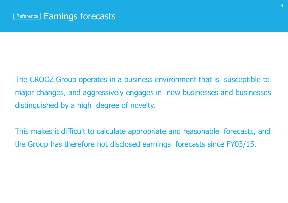The CROOZ Group operates in a business environment that is susceptible to major changes, and aggressively engages in new businesses and businesses distinguished by a high degree of novelty.

This makes it difficult to calculate appropriate and reasonable forecasts, and the Group has therefore not disclosed earnings forecasts since FY03/15.